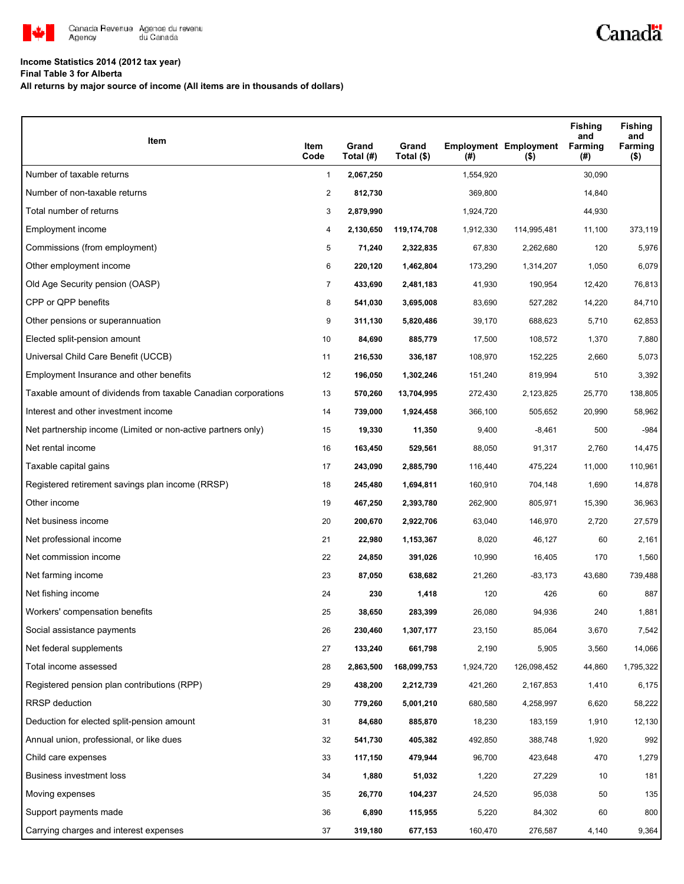

# **Income Statistics 2014 (2012 tax year)**

**Final Table 3 for Alberta**

**All returns by major source of income (All items are in thousands of dollars)**

| Item                                                           | Item<br>Code   | Grand<br>Total (#) | Grand<br>Total (\$) | (# )      | <b>Employment Employment</b><br>$($ \$) | <b>Fishing</b><br>and<br>Farming<br>(#) | <b>Fishing</b><br>and<br>Farming<br>$($ \$) |
|----------------------------------------------------------------|----------------|--------------------|---------------------|-----------|-----------------------------------------|-----------------------------------------|---------------------------------------------|
| Number of taxable returns                                      | $\mathbf{1}$   | 2,067,250          |                     | 1,554,920 |                                         | 30,090                                  |                                             |
| Number of non-taxable returns                                  | $\overline{2}$ | 812,730            |                     | 369,800   |                                         | 14,840                                  |                                             |
| Total number of returns                                        | 3              | 2,879,990          |                     | 1,924,720 |                                         | 44,930                                  |                                             |
| Employment income                                              | 4              | 2,130,650          | 119,174,708         | 1,912,330 | 114,995,481                             | 11,100                                  | 373,119                                     |
| Commissions (from employment)                                  | 5              | 71,240             | 2,322,835           | 67,830    | 2,262,680                               | 120                                     | 5,976                                       |
| Other employment income                                        | 6              | 220,120            | 1,462,804           | 173,290   | 1,314,207                               | 1,050                                   | 6,079                                       |
| Old Age Security pension (OASP)                                | 7              | 433,690            | 2,481,183           | 41,930    | 190,954                                 | 12,420                                  | 76,813                                      |
| CPP or QPP benefits                                            | 8              | 541,030            | 3,695,008           | 83,690    | 527,282                                 | 14,220                                  | 84,710                                      |
| Other pensions or superannuation                               | 9              | 311,130            | 5,820,486           | 39,170    | 688,623                                 | 5,710                                   | 62,853                                      |
| Elected split-pension amount                                   | 10             | 84,690             | 885,779             | 17,500    | 108,572                                 | 1,370                                   | 7,880                                       |
| Universal Child Care Benefit (UCCB)                            | 11             | 216,530            | 336,187             | 108,970   | 152,225                                 | 2,660                                   | 5,073                                       |
| Employment Insurance and other benefits                        | 12             | 196,050            | 1,302,246           | 151,240   | 819,994                                 | 510                                     | 3,392                                       |
| Taxable amount of dividends from taxable Canadian corporations | 13             | 570,260            | 13,704,995          | 272,430   | 2,123,825                               | 25,770                                  | 138,805                                     |
| Interest and other investment income                           | 14             | 739,000            | 1,924,458           | 366,100   | 505,652                                 | 20,990                                  | 58,962                                      |
| Net partnership income (Limited or non-active partners only)   | 15             | 19,330             | 11,350              | 9,400     | $-8,461$                                | 500                                     | $-984$                                      |
| Net rental income                                              | 16             | 163,450            | 529,561             | 88,050    | 91,317                                  | 2,760                                   | 14,475                                      |
| Taxable capital gains                                          | 17             | 243,090            | 2,885,790           | 116,440   | 475,224                                 | 11,000                                  | 110,961                                     |
| Registered retirement savings plan income (RRSP)               | 18             | 245,480            | 1,694,811           | 160,910   | 704,148                                 | 1,690                                   | 14,878                                      |
| Other income                                                   | 19             | 467,250            | 2,393,780           | 262,900   | 805,971                                 | 15,390                                  | 36,963                                      |
| Net business income                                            | 20             | 200,670            | 2,922,706           | 63,040    | 146,970                                 | 2,720                                   | 27,579                                      |
| Net professional income                                        | 21             | 22,980             | 1,153,367           | 8,020     | 46,127                                  | 60                                      | 2,161                                       |
| Net commission income                                          | 22             | 24,850             | 391,026             | 10,990    | 16,405                                  | 170                                     | 1,560                                       |
| Net farming income                                             | 23             | 87,050             | 638,682             | 21,260    | $-83,173$                               | 43,680                                  | 739,488                                     |
| Net fishing income                                             | 24             | 230                | 1,418               | 120       | 426                                     | 60                                      | 887                                         |
| Workers' compensation benefits                                 | 25             | 38,650             | 283,399             | 26,080    | 94,936                                  | 240                                     | 1,881                                       |
| Social assistance payments                                     | 26             | 230,460            | 1,307,177           | 23,150    | 85,064                                  | 3,670                                   | 7,542                                       |
| Net federal supplements                                        | 27             | 133,240            | 661,798             | 2,190     | 5,905                                   | 3,560                                   | 14,066                                      |
| Total income assessed                                          | 28             | 2,863,500          | 168,099,753         | 1,924,720 | 126,098,452                             | 44,860                                  | 1,795,322                                   |
| Registered pension plan contributions (RPP)                    | 29             | 438,200            | 2,212,739           | 421,260   | 2,167,853                               | 1,410                                   | 6,175                                       |
| RRSP deduction                                                 | 30             | 779,260            | 5,001,210           | 680,580   | 4,258,997                               | 6,620                                   | 58,222                                      |
| Deduction for elected split-pension amount                     | 31             | 84,680             | 885,870             | 18,230    | 183,159                                 | 1,910                                   | 12,130                                      |
| Annual union, professional, or like dues                       | 32             | 541,730            | 405,382             | 492,850   | 388,748                                 | 1,920                                   | 992                                         |
| Child care expenses                                            | 33             | 117,150            | 479,944             | 96,700    | 423,648                                 | 470                                     | 1,279                                       |
| Business investment loss                                       | 34             | 1,880              | 51,032              | 1,220     | 27,229                                  | 10                                      | 181                                         |
| Moving expenses                                                | 35             | 26,770             | 104,237             | 24,520    | 95,038                                  | 50                                      | 135                                         |
| Support payments made                                          | 36             | 6,890              | 115,955             | 5,220     | 84,302                                  | 60                                      | 800                                         |
| Carrying charges and interest expenses                         | 37             | 319,180            | 677,153             | 160,470   | 276,587                                 | 4,140                                   | 9,364                                       |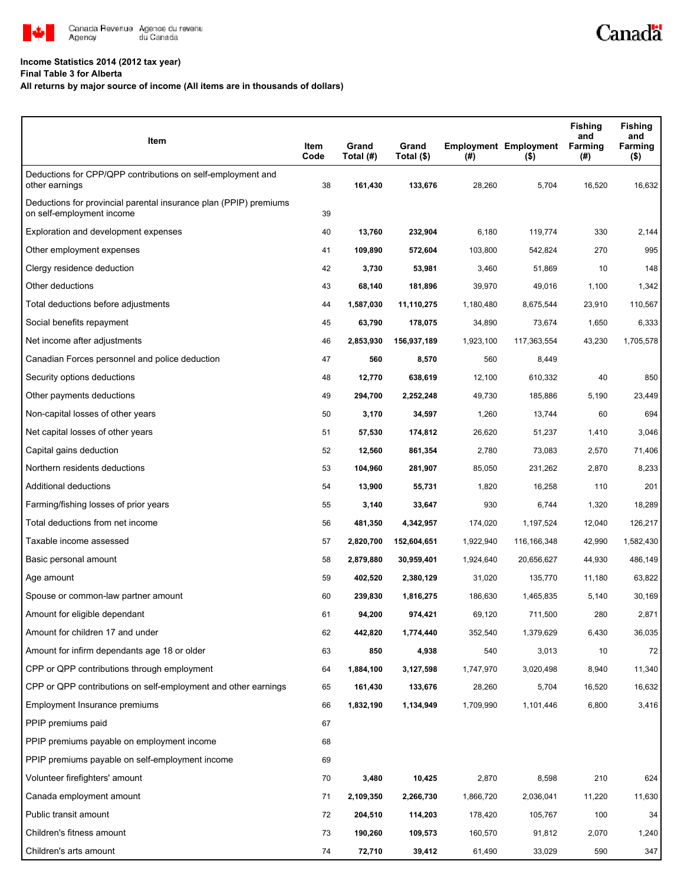

# **Income Statistics 2014 (2012 tax year)**

## **Final Table 3 for Alberta**

# **All returns by major source of income (All items are in thousands of dollars)**

| Item                                                                                           | Item<br>Code | Grand<br>Total (#) | Grand<br>Total (\$) | (# )      | <b>Employment Employment</b><br>$($ \$) | <b>Fishing</b><br>and<br><b>Farming</b><br>(#) | <b>Fishing</b><br>and<br>Farming<br>$($ \$) |
|------------------------------------------------------------------------------------------------|--------------|--------------------|---------------------|-----------|-----------------------------------------|------------------------------------------------|---------------------------------------------|
| Deductions for CPP/QPP contributions on self-employment and<br>other earnings                  | 38           | 161,430            | 133,676             | 28,260    | 5,704                                   | 16,520                                         | 16,632                                      |
| Deductions for provincial parental insurance plan (PPIP) premiums<br>on self-employment income | 39           |                    |                     |           |                                         |                                                |                                             |
| Exploration and development expenses                                                           | 40           | 13,760             | 232,904             | 6,180     | 119,774                                 | 330                                            | 2,144                                       |
| Other employment expenses                                                                      | 41           | 109,890            | 572,604             | 103,800   | 542,824                                 | 270                                            | 995                                         |
| Clergy residence deduction                                                                     | 42           | 3,730              | 53,981              | 3,460     | 51,869                                  | 10                                             | 148                                         |
| Other deductions                                                                               | 43           | 68,140             | 181,896             | 39,970    | 49,016                                  | 1,100                                          | 1,342                                       |
| Total deductions before adjustments                                                            | 44           | 1,587,030          | 11,110,275          | 1,180,480 | 8,675,544                               | 23,910                                         | 110,567                                     |
| Social benefits repayment                                                                      | 45           | 63,790             | 178,075             | 34,890    | 73,674                                  | 1,650                                          | 6,333                                       |
| Net income after adjustments                                                                   | 46           | 2,853,930          | 156,937,189         | 1,923,100 | 117,363,554                             | 43,230                                         | 1,705,578                                   |
| Canadian Forces personnel and police deduction                                                 | 47           | 560                | 8,570               | 560       | 8,449                                   |                                                |                                             |
| Security options deductions                                                                    | 48           | 12,770             | 638,619             | 12,100    | 610,332                                 | 40                                             | 850                                         |
| Other payments deductions                                                                      | 49           | 294,700            | 2,252,248           | 49,730    | 185,886                                 | 5,190                                          | 23,449                                      |
| Non-capital losses of other years                                                              | 50           | 3,170              | 34,597              | 1,260     | 13,744                                  | 60                                             | 694                                         |
| Net capital losses of other years                                                              | 51           | 57,530             | 174,812             | 26,620    | 51,237                                  | 1,410                                          | 3,046                                       |
| Capital gains deduction                                                                        | 52           | 12,560             | 861,354             | 2,780     | 73,083                                  | 2,570                                          | 71,406                                      |
| Northern residents deductions                                                                  | 53           | 104,960            | 281,907             | 85,050    | 231,262                                 | 2,870                                          | 8,233                                       |
| Additional deductions                                                                          | 54           | 13,900             | 55,731              | 1,820     | 16,258                                  | 110                                            | 201                                         |
| Farming/fishing losses of prior years                                                          | 55           | 3,140              | 33,647              | 930       | 6,744                                   | 1,320                                          | 18,289                                      |
| Total deductions from net income                                                               | 56           | 481,350            | 4,342,957           | 174,020   | 1,197,524                               | 12,040                                         | 126,217                                     |
| Taxable income assessed                                                                        | 57           | 2,820,700          | 152,604,651         | 1,922,940 | 116, 166, 348                           | 42,990                                         | 1,582,430                                   |
| Basic personal amount                                                                          | 58           | 2,879,880          | 30,959,401          | 1,924,640 | 20,656,627                              | 44,930                                         | 486,149                                     |
| Age amount                                                                                     | 59           | 402,520            | 2,380,129           | 31,020    | 135,770                                 | 11,180                                         | 63,822                                      |
| Spouse or common-law partner amount                                                            | 60           | 239,830            | 1,816,275           | 186,630   | 1,465,835                               | 5,140                                          | 30,169                                      |
| Amount for eligible dependant                                                                  | 61           | 94,200             | 974,421             | 69,120    | 711,500                                 | 280                                            | 2,871                                       |
| Amount for children 17 and under                                                               | 62           | 442,820            | 1,774,440           | 352,540   | 1,379,629                               | 6,430                                          | 36,035                                      |
| Amount for infirm dependants age 18 or older                                                   | 63           | 850                | 4,938               | 540       | 3,013                                   | 10                                             | 72                                          |
| CPP or QPP contributions through employment                                                    | 64           | 1,884,100          | 3,127,598           | 1,747,970 | 3,020,498                               | 8,940                                          | 11,340                                      |
| CPP or QPP contributions on self-employment and other earnings                                 | 65           | 161,430            | 133,676             | 28,260    | 5,704                                   | 16,520                                         | 16,632                                      |
| Employment Insurance premiums                                                                  | 66           | 1,832,190          | 1,134,949           | 1,709,990 | 1,101,446                               | 6,800                                          | 3,416                                       |
| PPIP premiums paid                                                                             | 67           |                    |                     |           |                                         |                                                |                                             |
| PPIP premiums payable on employment income                                                     | 68           |                    |                     |           |                                         |                                                |                                             |
| PPIP premiums payable on self-employment income                                                | 69           |                    |                     |           |                                         |                                                |                                             |
| Volunteer firefighters' amount                                                                 | 70           | 3,480              | 10,425              | 2,870     | 8,598                                   | 210                                            | 624                                         |
| Canada employment amount                                                                       | 71           | 2,109,350          | 2,266,730           | 1,866,720 | 2,036,041                               | 11,220                                         | 11,630                                      |
| Public transit amount                                                                          | 72           | 204,510            | 114,203             | 178,420   | 105,767                                 | 100                                            | 34                                          |
| Children's fitness amount                                                                      | 73           | 190,260            | 109,573             | 160,570   | 91,812                                  | 2,070                                          | 1,240                                       |
| Children's arts amount                                                                         | 74           | 72,710             | 39,412              | 61,490    | 33,029                                  | 590                                            | 347                                         |

Canadä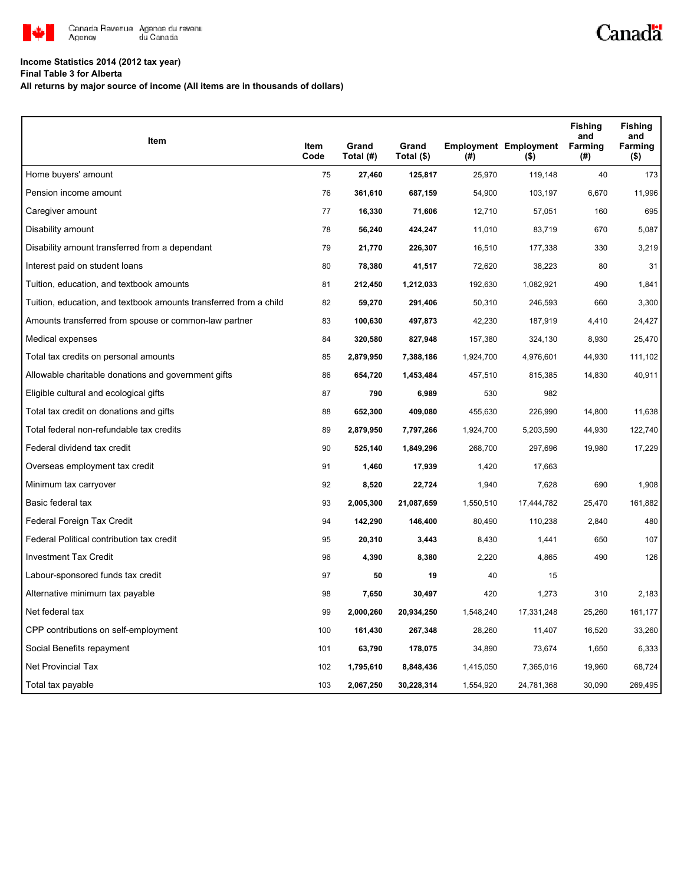

# **Income Statistics 2014 (2012 tax year)**

**Final Table 3 for Alberta**

**All returns by major source of income (All items are in thousands of dollars)**

| Item                                                              |              |                    |                     |           |                                         | <b>Fishing</b><br>and | <b>Fishing</b><br>and |
|-------------------------------------------------------------------|--------------|--------------------|---------------------|-----------|-----------------------------------------|-----------------------|-----------------------|
|                                                                   | Item<br>Code | Grand<br>Total (#) | Grand<br>Total (\$) | (#)       | <b>Employment Employment</b><br>$($ \$) | <b>Farming</b><br>(#) | Farming<br>$($ \$)    |
| Home buyers' amount                                               | 75           | 27,460             | 125,817             | 25,970    | 119,148                                 | 40                    | 173                   |
| Pension income amount                                             | 76           | 361,610            | 687,159             | 54,900    | 103,197                                 | 6,670                 | 11,996                |
| Caregiver amount                                                  | 77           | 16,330             | 71,606              | 12,710    | 57,051                                  | 160                   | 695                   |
| Disability amount                                                 | 78           | 56,240             | 424,247             | 11,010    | 83,719                                  | 670                   | 5,087                 |
| Disability amount transferred from a dependant                    | 79           | 21,770             | 226,307             | 16,510    | 177,338                                 | 330                   | 3,219                 |
| Interest paid on student loans                                    | 80           | 78,380             | 41,517              | 72,620    | 38,223                                  | 80                    | 31                    |
| Tuition, education, and textbook amounts                          | 81           | 212,450            | 1,212,033           | 192,630   | 1,082,921                               | 490                   | 1,841                 |
| Tuition, education, and textbook amounts transferred from a child | 82           | 59,270             | 291,406             | 50,310    | 246,593                                 | 660                   | 3,300                 |
| Amounts transferred from spouse or common-law partner             | 83           | 100,630            | 497,873             | 42,230    | 187,919                                 | 4,410                 | 24,427                |
| Medical expenses                                                  | 84           | 320,580            | 827,948             | 157,380   | 324,130                                 | 8,930                 | 25,470                |
| Total tax credits on personal amounts                             | 85           | 2,879,950          | 7,388,186           | 1,924,700 | 4,976,601                               | 44,930                | 111,102               |
| Allowable charitable donations and government gifts               | 86           | 654,720            | 1,453,484           | 457,510   | 815,385                                 | 14,830                | 40,911                |
| Eligible cultural and ecological gifts                            | 87           | 790                | 6,989               | 530       | 982                                     |                       |                       |
| Total tax credit on donations and gifts                           | 88           | 652,300            | 409,080             | 455,630   | 226,990                                 | 14,800                | 11,638                |
| Total federal non-refundable tax credits                          | 89           | 2,879,950          | 7,797,266           | 1,924,700 | 5,203,590                               | 44,930                | 122,740               |
| Federal dividend tax credit                                       | 90           | 525,140            | 1,849,296           | 268,700   | 297,696                                 | 19,980                | 17,229                |
| Overseas employment tax credit                                    | 91           | 1,460              | 17,939              | 1,420     | 17,663                                  |                       |                       |
| Minimum tax carryover                                             | 92           | 8,520              | 22,724              | 1,940     | 7,628                                   | 690                   | 1,908                 |
| Basic federal tax                                                 | 93           | 2,005,300          | 21,087,659          | 1,550,510 | 17,444,782                              | 25,470                | 161,882               |
| Federal Foreign Tax Credit                                        | 94           | 142,290            | 146,400             | 80,490    | 110,238                                 | 2,840                 | 480                   |
| Federal Political contribution tax credit                         | 95           | 20,310             | 3,443               | 8,430     | 1,441                                   | 650                   | 107                   |
| <b>Investment Tax Credit</b>                                      | 96           | 4,390              | 8,380               | 2,220     | 4,865                                   | 490                   | 126                   |
| Labour-sponsored funds tax credit                                 | 97           | 50                 | 19                  | 40        | 15                                      |                       |                       |
| Alternative minimum tax payable                                   | 98           | 7,650              | 30,497              | 420       | 1,273                                   | 310                   | 2,183                 |
| Net federal tax                                                   | 99           | 2,000,260          | 20,934,250          | 1,548,240 | 17,331,248                              | 25,260                | 161,177               |
| CPP contributions on self-employment                              | 100          | 161,430            | 267,348             | 28,260    | 11,407                                  | 16,520                | 33,260                |
| Social Benefits repayment                                         | 101          | 63,790             | 178,075             | 34,890    | 73,674                                  | 1,650                 | 6,333                 |
| <b>Net Provincial Tax</b>                                         | 102          | 1,795,610          | 8,848,436           | 1,415,050 | 7,365,016                               | 19,960                | 68,724                |
| Total tax payable                                                 | 103          | 2,067,250          | 30,228,314          | 1,554,920 | 24,781,368                              | 30,090                | 269,495               |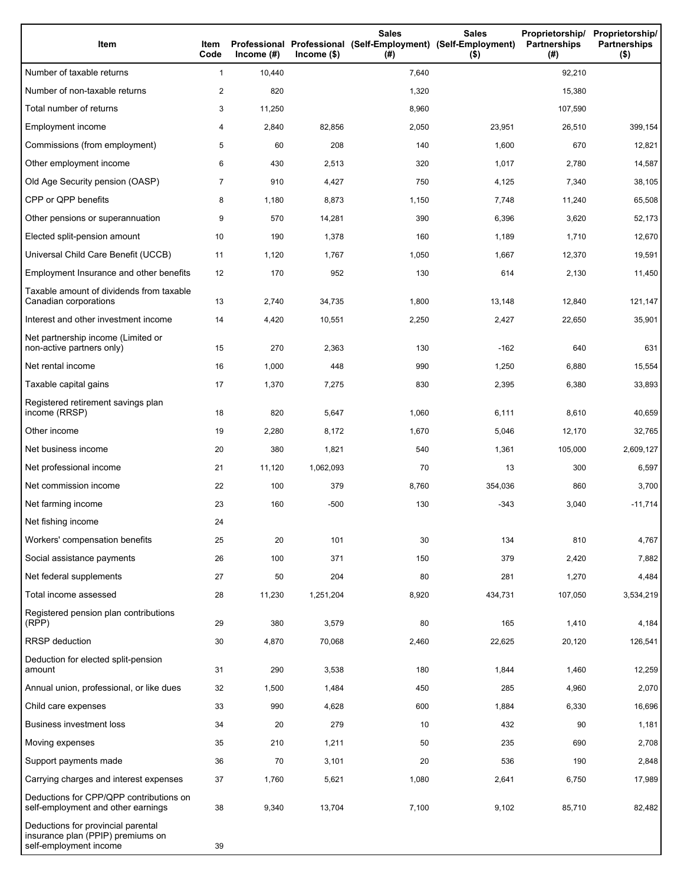| Item                                                                                              | Item<br>Code   | Income $(H)$ | $Income$ (\$) | <b>Sales</b><br>Professional Professional (Self-Employment) (Self-Employment)<br>(# ) | <b>Sales</b><br>$($ \$) | Proprietorship/ Proprietorship/<br>Partnerships<br>(#) | <b>Partnerships</b><br>$($ \$) |
|---------------------------------------------------------------------------------------------------|----------------|--------------|---------------|---------------------------------------------------------------------------------------|-------------------------|--------------------------------------------------------|--------------------------------|
| Number of taxable returns                                                                         | 1              | 10,440       |               | 7,640                                                                                 |                         | 92,210                                                 |                                |
| Number of non-taxable returns                                                                     | 2              | 820          |               | 1,320                                                                                 |                         | 15,380                                                 |                                |
| Total number of returns                                                                           | 3              | 11,250       |               | 8,960                                                                                 |                         | 107,590                                                |                                |
| Employment income                                                                                 | 4              | 2,840        | 82,856        | 2,050                                                                                 | 23,951                  | 26,510                                                 | 399,154                        |
| Commissions (from employment)                                                                     | 5              | 60           | 208           | 140                                                                                   | 1,600                   | 670                                                    | 12,821                         |
| Other employment income                                                                           | 6              | 430          | 2,513         | 320                                                                                   | 1,017                   | 2,780                                                  | 14,587                         |
| Old Age Security pension (OASP)                                                                   | $\overline{7}$ | 910          | 4,427         | 750                                                                                   | 4,125                   | 7,340                                                  | 38,105                         |
| CPP or QPP benefits                                                                               | 8              | 1,180        | 8,873         | 1,150                                                                                 | 7,748                   | 11,240                                                 | 65,508                         |
| Other pensions or superannuation                                                                  | 9              | 570          | 14,281        | 390                                                                                   | 6,396                   | 3,620                                                  | 52,173                         |
| Elected split-pension amount                                                                      | 10             | 190          | 1,378         | 160                                                                                   | 1,189                   | 1,710                                                  | 12,670                         |
| Universal Child Care Benefit (UCCB)                                                               | 11             | 1,120        | 1,767         | 1,050                                                                                 | 1,667                   | 12,370                                                 | 19,591                         |
| Employment Insurance and other benefits                                                           | 12             | 170          | 952           | 130                                                                                   | 614                     | 2,130                                                  | 11,450                         |
| Taxable amount of dividends from taxable<br>Canadian corporations                                 | 13             | 2,740        | 34,735        | 1,800                                                                                 | 13,148                  | 12,840                                                 | 121,147                        |
| Interest and other investment income                                                              | 14             | 4,420        | 10,551        | 2,250                                                                                 | 2,427                   | 22,650                                                 | 35,901                         |
| Net partnership income (Limited or<br>non-active partners only)                                   | 15             | 270          | 2,363         | 130                                                                                   | $-162$                  | 640                                                    | 631                            |
| Net rental income                                                                                 | 16             | 1,000        | 448           | 990                                                                                   | 1,250                   | 6,880                                                  | 15,554                         |
| Taxable capital gains                                                                             | 17             | 1,370        | 7,275         | 830                                                                                   | 2,395                   | 6,380                                                  | 33,893                         |
| Registered retirement savings plan<br>income (RRSP)                                               | 18             | 820          | 5,647         | 1,060                                                                                 | 6,111                   | 8,610                                                  | 40,659                         |
| Other income                                                                                      | 19             | 2,280        | 8,172         | 1,670                                                                                 | 5,046                   | 12,170                                                 | 32,765                         |
| Net business income                                                                               | 20             | 380          | 1,821         | 540                                                                                   | 1,361                   | 105,000                                                | 2,609,127                      |
| Net professional income                                                                           | 21             | 11,120       | 1,062,093     | 70                                                                                    | 13                      | 300                                                    | 6,597                          |
| Net commission income                                                                             | 22             | 100          | 379           | 8,760                                                                                 | 354,036                 | 860                                                    | 3,700                          |
| Net farming income                                                                                | 23             | 160          | $-500$        | 130                                                                                   | -343                    | 3,040                                                  | $-11,714$                      |
| Net fishing income                                                                                | 24             |              |               |                                                                                       |                         |                                                        |                                |
| Workers' compensation benefits                                                                    | 25             | 20           | 101           | 30                                                                                    | 134                     | 810                                                    | 4,767                          |
| Social assistance payments                                                                        | 26             | 100          | 371           | 150                                                                                   | 379                     | 2,420                                                  | 7,882                          |
| Net federal supplements                                                                           | 27             | 50           | 204           | 80                                                                                    | 281                     | 1,270                                                  | 4,484                          |
| Total income assessed                                                                             | 28             | 11,230       | 1,251,204     | 8,920                                                                                 | 434,731                 | 107,050                                                | 3,534,219                      |
| Registered pension plan contributions<br>(RPP)                                                    | 29             | 380          | 3,579         | 80                                                                                    | 165                     | 1,410                                                  | 4,184                          |
| RRSP deduction                                                                                    | 30             | 4,870        | 70,068        | 2,460                                                                                 | 22,625                  | 20,120                                                 | 126,541                        |
| Deduction for elected split-pension<br>amount                                                     | 31             | 290          | 3,538         | 180                                                                                   | 1,844                   | 1,460                                                  | 12,259                         |
| Annual union, professional, or like dues                                                          | 32             | 1,500        | 1,484         | 450                                                                                   | 285                     | 4,960                                                  | 2,070                          |
| Child care expenses                                                                               | 33             | 990          | 4,628         | 600                                                                                   | 1,884                   | 6,330                                                  | 16,696                         |
| <b>Business investment loss</b>                                                                   | 34             | 20           | 279           | 10                                                                                    | 432                     | 90                                                     | 1,181                          |
| Moving expenses                                                                                   | 35             | 210          | 1,211         | 50                                                                                    | 235                     | 690                                                    | 2,708                          |
| Support payments made                                                                             | 36             | 70           | 3,101         | 20                                                                                    | 536                     | 190                                                    | 2,848                          |
| Carrying charges and interest expenses                                                            | 37             | 1,760        | 5,621         | 1,080                                                                                 | 2,641                   | 6,750                                                  | 17,989                         |
| Deductions for CPP/QPP contributions on<br>self-employment and other earnings                     | 38             | 9,340        | 13,704        | 7,100                                                                                 | 9,102                   | 85,710                                                 | 82,482                         |
| Deductions for provincial parental<br>insurance plan (PPIP) premiums on<br>self-employment income | 39             |              |               |                                                                                       |                         |                                                        |                                |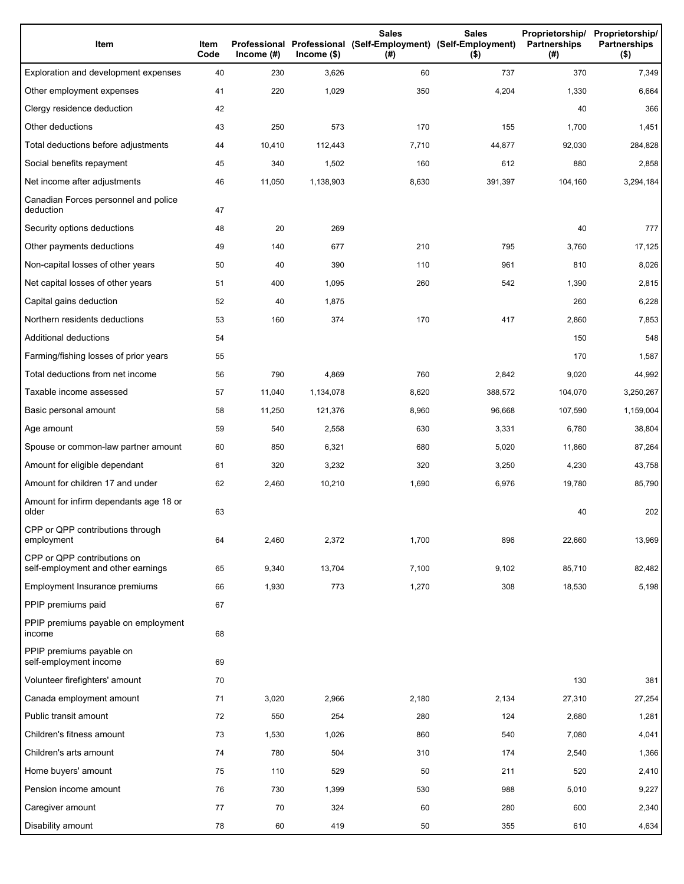| Item                                                              | Item<br>Code | Income $(H)$ | $lncome$ (\$) | <b>Sales</b><br>Professional Professional (Self-Employment) (Self-Employment)<br>(#) | <b>Sales</b><br>$($ \$) | Proprietorship/<br>Partnerships<br>(#) | Proprietorship/<br><b>Partnerships</b><br>$($ \$) |
|-------------------------------------------------------------------|--------------|--------------|---------------|--------------------------------------------------------------------------------------|-------------------------|----------------------------------------|---------------------------------------------------|
| Exploration and development expenses                              | 40           | 230          | 3,626         | 60                                                                                   | 737                     | 370                                    | 7,349                                             |
| Other employment expenses                                         | 41           | 220          | 1,029         | 350                                                                                  | 4,204                   | 1,330                                  | 6,664                                             |
| Clergy residence deduction                                        | 42           |              |               |                                                                                      |                         | 40                                     | 366                                               |
| Other deductions                                                  | 43           | 250          | 573           | 170                                                                                  | 155                     | 1,700                                  | 1,451                                             |
| Total deductions before adjustments                               | 44           | 10,410       | 112,443       | 7,710                                                                                | 44,877                  | 92,030                                 | 284,828                                           |
| Social benefits repayment                                         | 45           | 340          | 1,502         | 160                                                                                  | 612                     | 880                                    | 2,858                                             |
| Net income after adjustments                                      | 46           | 11,050       | 1,138,903     | 8,630                                                                                | 391,397                 | 104,160                                | 3,294,184                                         |
| Canadian Forces personnel and police<br>deduction                 | 47           |              |               |                                                                                      |                         |                                        |                                                   |
| Security options deductions                                       | 48           | 20           | 269           |                                                                                      |                         | 40                                     | 777                                               |
| Other payments deductions                                         | 49           | 140          | 677           | 210                                                                                  | 795                     | 3,760                                  | 17,125                                            |
| Non-capital losses of other years                                 | 50           | 40           | 390           | 110                                                                                  | 961                     | 810                                    | 8,026                                             |
| Net capital losses of other years                                 | 51           | 400          | 1,095         | 260                                                                                  | 542                     | 1,390                                  | 2,815                                             |
| Capital gains deduction                                           | 52           | 40           | 1,875         |                                                                                      |                         | 260                                    | 6,228                                             |
| Northern residents deductions                                     | 53           | 160          | 374           | 170                                                                                  | 417                     | 2,860                                  | 7,853                                             |
| Additional deductions                                             | 54           |              |               |                                                                                      |                         | 150                                    | 548                                               |
| Farming/fishing losses of prior years                             | 55           |              |               |                                                                                      |                         | 170                                    | 1,587                                             |
| Total deductions from net income                                  | 56           | 790          | 4,869         | 760                                                                                  | 2,842                   | 9,020                                  | 44,992                                            |
| Taxable income assessed                                           | 57           | 11,040       | 1,134,078     | 8,620                                                                                | 388,572                 | 104,070                                | 3,250,267                                         |
| Basic personal amount                                             | 58           | 11,250       | 121,376       | 8,960                                                                                | 96,668                  | 107,590                                | 1,159,004                                         |
| Age amount                                                        | 59           | 540          | 2,558         | 630                                                                                  | 3,331                   | 6,780                                  | 38,804                                            |
| Spouse or common-law partner amount                               | 60           | 850          | 6,321         | 680                                                                                  | 5,020                   | 11,860                                 | 87,264                                            |
| Amount for eligible dependant                                     | 61           | 320          | 3,232         | 320                                                                                  | 3,250                   | 4,230                                  | 43,758                                            |
| Amount for children 17 and under                                  | 62           | 2,460        | 10,210        | 1,690                                                                                | 6,976                   | 19,780                                 | 85,790                                            |
| Amount for infirm dependants age 18 or<br>older                   | 63           |              |               |                                                                                      |                         | 40                                     | 202                                               |
| CPP or QPP contributions through<br>employment                    | 64           | 2,460        | 2,372         | 1,700                                                                                | 896                     | 22,660                                 | 13,969                                            |
| CPP or QPP contributions on<br>self-employment and other earnings | 65           | 9,340        | 13,704        | 7,100                                                                                | 9,102                   | 85,710                                 | 82,482                                            |
| Employment Insurance premiums                                     | 66           | 1,930        | 773           | 1,270                                                                                | 308                     | 18,530                                 | 5,198                                             |
| PPIP premiums paid                                                | 67           |              |               |                                                                                      |                         |                                        |                                                   |
| PPIP premiums payable on employment<br>income                     | 68           |              |               |                                                                                      |                         |                                        |                                                   |
| PPIP premiums payable on<br>self-employment income                | 69           |              |               |                                                                                      |                         |                                        |                                                   |
| Volunteer firefighters' amount                                    | 70           |              |               |                                                                                      |                         | 130                                    | 381                                               |
| Canada employment amount                                          | 71           | 3,020        | 2,966         | 2,180                                                                                | 2,134                   | 27,310                                 | 27,254                                            |
| Public transit amount                                             | 72           | 550          | 254           | 280                                                                                  | 124                     | 2,680                                  | 1,281                                             |
| Children's fitness amount                                         | 73           | 1,530        | 1,026         | 860                                                                                  | 540                     | 7,080                                  | 4,041                                             |
| Children's arts amount                                            | 74           | 780          | 504           | 310                                                                                  | 174                     | 2,540                                  | 1,366                                             |
| Home buyers' amount                                               | 75           | 110          | 529           | 50                                                                                   | 211                     | 520                                    | 2,410                                             |
| Pension income amount                                             | 76           | 730          | 1,399         | 530                                                                                  | 988                     | 5,010                                  | 9,227                                             |
| Caregiver amount                                                  | 77           | 70           | 324           | 60                                                                                   | 280                     | 600                                    | 2,340                                             |
| Disability amount                                                 | 78           | 60           | 419           | 50                                                                                   | 355                     | 610                                    | 4,634                                             |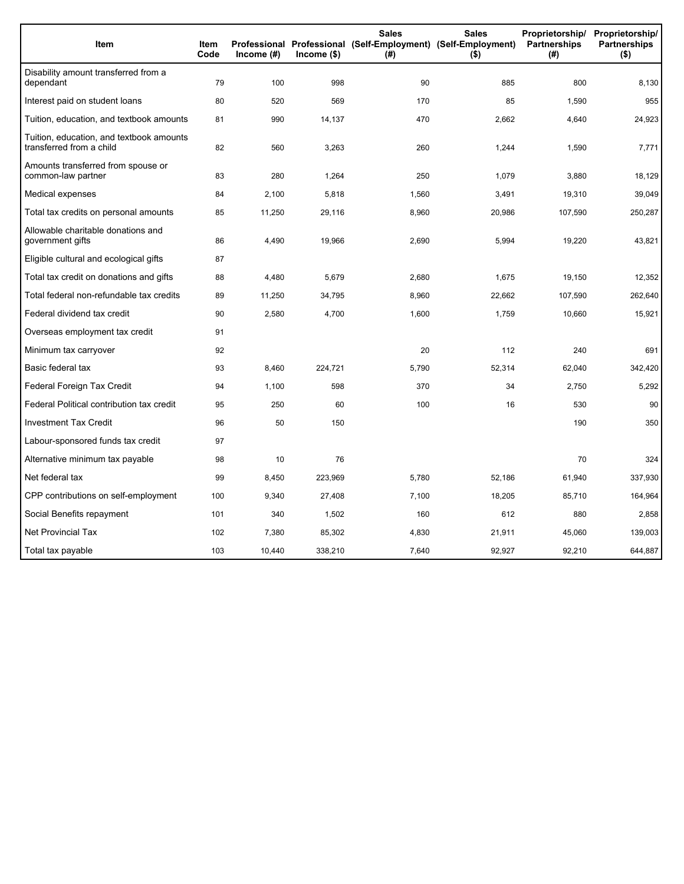| Item                                                                 | Item<br>Code | Income $(\#)$ | $lncome$ (\$) | Sales<br>(#) | <b>Sales</b><br>Proprietorship/<br>Professional Professional (Self-Employment) (Self-Employment)<br>Partnerships<br>$($ \$) |         | Proprietorship/<br><b>Partnerships</b><br>$($ \$) |
|----------------------------------------------------------------------|--------------|---------------|---------------|--------------|-----------------------------------------------------------------------------------------------------------------------------|---------|---------------------------------------------------|
| Disability amount transferred from a<br>dependant                    | 79           | 100           | 998           | 90           | 885                                                                                                                         | 800     | 8,130                                             |
| Interest paid on student loans                                       | 80           | 520           | 569           | 170          | 85                                                                                                                          | 1,590   | 955                                               |
| Tuition, education, and textbook amounts                             | 81           | 990           | 14,137        | 470          | 2,662                                                                                                                       | 4,640   | 24,923                                            |
| Tuition, education, and textbook amounts<br>transferred from a child | 82           | 560           | 3,263         | 260          | 1,244                                                                                                                       | 1,590   | 7,771                                             |
| Amounts transferred from spouse or<br>common-law partner             | 83           | 280           | 1,264         | 250          | 1,079                                                                                                                       | 3,880   | 18,129                                            |
| Medical expenses                                                     | 84           | 2,100         | 5,818         | 1,560        | 3,491                                                                                                                       | 19,310  | 39,049                                            |
| Total tax credits on personal amounts                                | 85           | 11,250        | 29,116        | 8,960        | 20,986                                                                                                                      | 107,590 | 250,287                                           |
| Allowable charitable donations and<br>government gifts               | 86           | 4,490         | 19,966        | 2,690        | 5,994                                                                                                                       | 19,220  | 43,821                                            |
| Eligible cultural and ecological gifts                               | 87           |               |               |              |                                                                                                                             |         |                                                   |
| Total tax credit on donations and gifts                              | 88           | 4,480         | 5,679         | 2,680        | 1,675                                                                                                                       | 19,150  | 12,352                                            |
| Total federal non-refundable tax credits                             | 89           | 11,250        | 34,795        | 8,960        | 22,662                                                                                                                      | 107,590 | 262,640                                           |
| Federal dividend tax credit                                          | 90           | 2,580         | 4,700         | 1,600        | 1,759                                                                                                                       | 10,660  | 15,921                                            |
| Overseas employment tax credit                                       | 91           |               |               |              |                                                                                                                             |         |                                                   |
| Minimum tax carryover                                                | 92           |               |               | 20           | 112                                                                                                                         | 240     | 691                                               |
| Basic federal tax                                                    | 93           | 8,460         | 224,721       | 5,790        | 52,314                                                                                                                      | 62,040  | 342,420                                           |
| Federal Foreign Tax Credit                                           | 94           | 1,100         | 598           | 370          | 34                                                                                                                          | 2,750   | 5,292                                             |
| Federal Political contribution tax credit                            | 95           | 250           | 60            | 100          | 16                                                                                                                          | 530     | 90                                                |
| <b>Investment Tax Credit</b>                                         | 96           | 50            | 150           |              |                                                                                                                             | 190     | 350                                               |
| Labour-sponsored funds tax credit                                    | 97           |               |               |              |                                                                                                                             |         |                                                   |
| Alternative minimum tax payable                                      | 98           | 10            | 76            |              |                                                                                                                             | 70      | 324                                               |
| Net federal tax                                                      | 99           | 8,450         | 223,969       | 5,780        | 52,186                                                                                                                      | 61,940  | 337,930                                           |
| CPP contributions on self-employment                                 | 100          | 9,340         | 27,408        | 7,100        | 18,205                                                                                                                      | 85,710  | 164,964                                           |
| Social Benefits repayment                                            | 101          | 340           | 1,502         | 160          | 612                                                                                                                         | 880     | 2,858                                             |
| Net Provincial Tax                                                   | 102          | 7,380         | 85,302        | 4,830        | 21,911                                                                                                                      | 45,060  | 139,003                                           |
| Total tax payable                                                    | 103          | 10,440        | 338,210       | 7,640        | 92,927                                                                                                                      | 92,210  | 644,887                                           |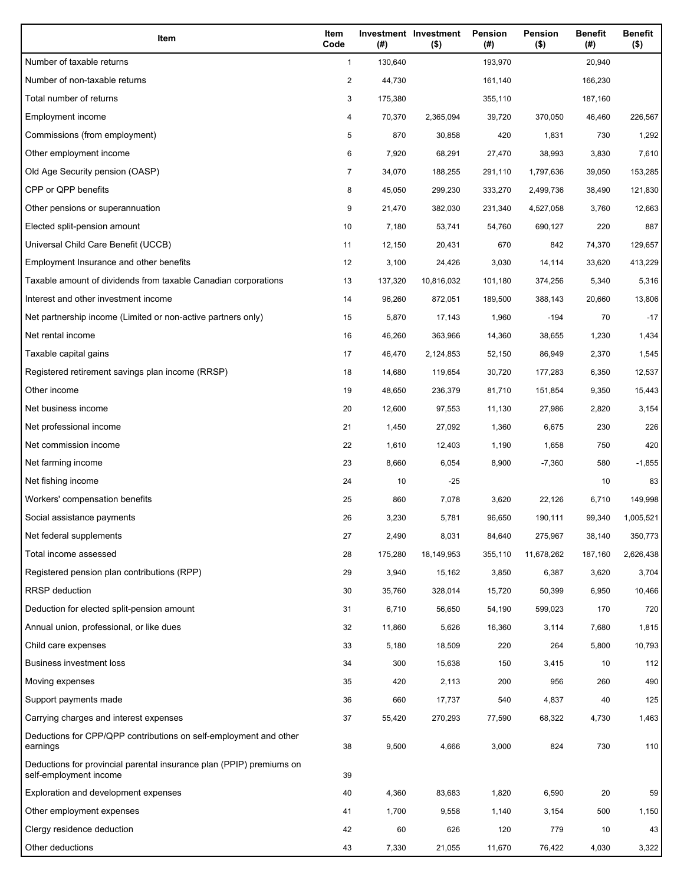| Item                                                                                           | Item<br>Code   | (#)     | Investment Investment<br>$($ \$) | Pension<br>(#) | Pension<br>$($ \$) | <b>Benefit</b><br>(#) | <b>Benefit</b><br>$($ \$) |
|------------------------------------------------------------------------------------------------|----------------|---------|----------------------------------|----------------|--------------------|-----------------------|---------------------------|
| Number of taxable returns                                                                      | $\mathbf{1}$   | 130,640 |                                  | 193,970        |                    | 20,940                |                           |
| Number of non-taxable returns                                                                  | $\overline{a}$ | 44,730  |                                  | 161,140        |                    | 166,230               |                           |
| Total number of returns                                                                        | 3              | 175,380 |                                  | 355,110        |                    | 187,160               |                           |
| Employment income                                                                              | 4              | 70,370  | 2,365,094                        | 39,720         | 370,050            | 46,460                | 226,567                   |
| Commissions (from employment)                                                                  | 5              | 870     | 30,858                           | 420            | 1,831              | 730                   | 1,292                     |
| Other employment income                                                                        | 6              | 7,920   | 68,291                           | 27,470         | 38,993             | 3,830                 | 7,610                     |
| Old Age Security pension (OASP)                                                                | $\overline{7}$ | 34,070  | 188,255                          | 291,110        | 1,797,636          | 39,050                | 153,285                   |
| CPP or QPP benefits                                                                            | 8              | 45,050  | 299,230                          | 333,270        | 2,499,736          | 38,490                | 121,830                   |
| Other pensions or superannuation                                                               | 9              | 21,470  | 382,030                          | 231,340        | 4,527,058          | 3,760                 | 12,663                    |
| Elected split-pension amount                                                                   | 10             | 7,180   | 53,741                           | 54,760         | 690,127            | 220                   | 887                       |
| Universal Child Care Benefit (UCCB)                                                            | 11             | 12,150  | 20,431                           | 670            | 842                | 74,370                | 129,657                   |
| Employment Insurance and other benefits                                                        | 12             | 3,100   | 24,426                           | 3,030          | 14,114             | 33,620                | 413,229                   |
| Taxable amount of dividends from taxable Canadian corporations                                 | 13             | 137,320 | 10,816,032                       | 101,180        | 374,256            | 5,340                 | 5,316                     |
| Interest and other investment income                                                           | 14             | 96,260  | 872,051                          | 189,500        | 388,143            | 20,660                | 13,806                    |
| Net partnership income (Limited or non-active partners only)                                   | 15             | 5,870   | 17,143                           | 1,960          | $-194$             | 70                    | $-17$                     |
| Net rental income                                                                              | 16             | 46,260  | 363,966                          | 14,360         | 38,655             | 1,230                 | 1,434                     |
| Taxable capital gains                                                                          | 17             | 46,470  | 2,124,853                        | 52,150         | 86,949             | 2,370                 | 1,545                     |
| Registered retirement savings plan income (RRSP)                                               | 18             | 14,680  | 119,654                          | 30,720         | 177,283            | 6,350                 | 12,537                    |
| Other income                                                                                   | 19             | 48,650  | 236,379                          | 81,710         | 151,854            | 9,350                 | 15,443                    |
| Net business income                                                                            | 20             | 12,600  | 97,553                           | 11,130         | 27,986             | 2,820                 | 3,154                     |
| Net professional income                                                                        | 21             | 1,450   | 27,092                           | 1,360          | 6,675              | 230                   | 226                       |
| Net commission income                                                                          | 22             | 1,610   | 12,403                           | 1,190          | 1,658              | 750                   | 420                       |
| Net farming income                                                                             | 23             | 8,660   | 6,054                            | 8,900          | $-7,360$           | 580                   | $-1,855$                  |
| Net fishing income                                                                             | 24             | 10      | $-25$                            |                |                    | 10                    | 83                        |
| Workers' compensation benefits                                                                 | 25             | 860     | 7,078                            | 3,620          | 22,126             | 6,710                 | 149,998                   |
| Social assistance payments                                                                     | 26             | 3,230   | 5,781                            | 96,650         | 190,111            | 99,340                | 1,005,521                 |
| Net federal supplements                                                                        | 27             | 2,490   | 8,031                            | 84,640         | 275,967            | 38,140                | 350,773                   |
| Total income assessed                                                                          | 28             | 175,280 | 18,149,953                       | 355,110        | 11,678,262         | 187,160               | 2,626,438                 |
| Registered pension plan contributions (RPP)                                                    | 29             | 3,940   | 15,162                           | 3,850          | 6,387              | 3,620                 | 3,704                     |
| <b>RRSP</b> deduction                                                                          | 30             | 35,760  | 328,014                          | 15,720         | 50,399             | 6,950                 | 10,466                    |
| Deduction for elected split-pension amount                                                     | 31             | 6,710   | 56,650                           | 54,190         | 599,023            | 170                   | 720                       |
| Annual union, professional, or like dues                                                       | 32             | 11,860  | 5,626                            | 16,360         | 3,114              | 7,680                 | 1,815                     |
| Child care expenses                                                                            | 33             | 5,180   | 18,509                           | 220            | 264                | 5,800                 | 10,793                    |
| Business investment loss                                                                       | 34             | 300     | 15,638                           | 150            | 3,415              | 10                    | 112                       |
| Moving expenses                                                                                | 35             | 420     | 2,113                            | 200            | 956                | 260                   | 490                       |
| Support payments made                                                                          | 36             | 660     | 17,737                           | 540            | 4,837              | 40                    | 125                       |
| Carrying charges and interest expenses                                                         | 37             | 55,420  | 270,293                          | 77,590         | 68,322             | 4,730                 | 1,463                     |
| Deductions for CPP/QPP contributions on self-employment and other<br>earnings                  | 38             | 9,500   | 4,666                            | 3,000          | 824                | 730                   | 110                       |
| Deductions for provincial parental insurance plan (PPIP) premiums on<br>self-employment income | 39             |         |                                  |                |                    |                       |                           |
| Exploration and development expenses                                                           | 40             | 4,360   | 83,683                           | 1,820          | 6,590              | 20                    | 59                        |
| Other employment expenses                                                                      | 41             | 1,700   | 9,558                            | 1,140          | 3,154              | 500                   | 1,150                     |
| Clergy residence deduction                                                                     | 42             | 60      | 626                              | 120            | 779                | 10                    | 43                        |
| Other deductions                                                                               | 43             | 7,330   | 21,055                           | 11,670         | 76,422             | 4,030                 | 3,322                     |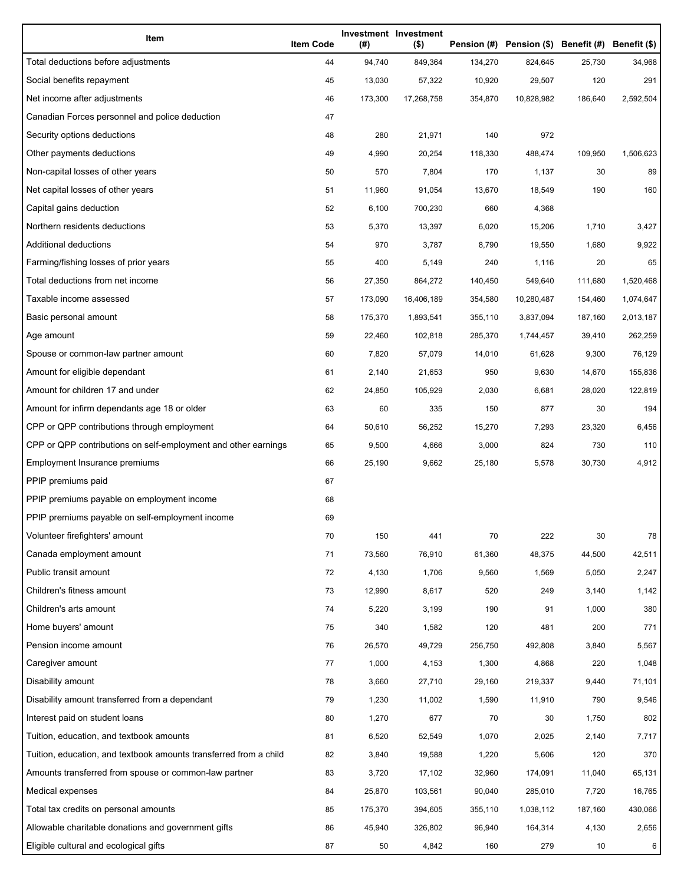| Item                                                              | <b>Item Code</b> | (#)     | Investment Investment<br>$($ \$) |         | Pension (#) Pension (\$) Benefit (#) Benefit (\$) |         |           |
|-------------------------------------------------------------------|------------------|---------|----------------------------------|---------|---------------------------------------------------|---------|-----------|
| Total deductions before adjustments                               | 44               | 94,740  | 849,364                          | 134,270 | 824,645                                           | 25,730  | 34,968    |
| Social benefits repayment                                         | 45               | 13,030  | 57,322                           | 10,920  | 29,507                                            | 120     | 291       |
| Net income after adjustments                                      | 46               | 173,300 | 17,268,758                       | 354,870 | 10,828,982                                        | 186,640 | 2,592,504 |
| Canadian Forces personnel and police deduction                    | 47               |         |                                  |         |                                                   |         |           |
| Security options deductions                                       | 48               | 280     | 21,971                           | 140     | 972                                               |         |           |
| Other payments deductions                                         | 49               | 4,990   | 20,254                           | 118,330 | 488,474                                           | 109,950 | 1,506,623 |
| Non-capital losses of other years                                 | 50               | 570     | 7,804                            | 170     | 1,137                                             | 30      | 89        |
| Net capital losses of other years                                 | 51               | 11,960  | 91,054                           | 13,670  | 18,549                                            | 190     | 160       |
| Capital gains deduction                                           | 52               | 6,100   | 700,230                          | 660     | 4,368                                             |         |           |
| Northern residents deductions                                     | 53               | 5,370   | 13,397                           | 6,020   | 15,206                                            | 1,710   | 3,427     |
| Additional deductions                                             | 54               | 970     | 3,787                            | 8,790   | 19,550                                            | 1,680   | 9,922     |
| Farming/fishing losses of prior years                             | 55               | 400     | 5,149                            | 240     | 1,116                                             | 20      | 65        |
| Total deductions from net income                                  | 56               | 27,350  | 864,272                          | 140,450 | 549,640                                           | 111,680 | 1,520,468 |
| Taxable income assessed                                           | 57               | 173,090 | 16,406,189                       | 354,580 | 10,280,487                                        | 154,460 | 1,074,647 |
| Basic personal amount                                             | 58               | 175,370 | 1,893,541                        | 355,110 | 3,837,094                                         | 187,160 | 2,013,187 |
| Age amount                                                        | 59               | 22,460  | 102,818                          | 285,370 | 1,744,457                                         | 39,410  | 262,259   |
| Spouse or common-law partner amount                               | 60               | 7,820   | 57,079                           | 14,010  | 61,628                                            | 9,300   | 76,129    |
| Amount for eligible dependant                                     | 61               | 2,140   | 21,653                           | 950     | 9,630                                             | 14,670  | 155,836   |
| Amount for children 17 and under                                  | 62               | 24,850  | 105,929                          | 2,030   | 6,681                                             | 28,020  | 122,819   |
| Amount for infirm dependants age 18 or older                      | 63               | 60      | 335                              | 150     | 877                                               | 30      | 194       |
| CPP or QPP contributions through employment                       | 64               | 50,610  | 56,252                           | 15,270  | 7,293                                             | 23,320  | 6,456     |
| CPP or QPP contributions on self-employment and other earnings    | 65               | 9,500   | 4,666                            | 3,000   | 824                                               | 730     | 110       |
| Employment Insurance premiums                                     | 66               | 25,190  | 9,662                            | 25,180  | 5,578                                             | 30,730  | 4,912     |
| PPIP premiums paid                                                | 67               |         |                                  |         |                                                   |         |           |
| PPIP premiums payable on employment income                        | 68               |         |                                  |         |                                                   |         |           |
| PPIP premiums payable on self-employment income                   | 69               |         |                                  |         |                                                   |         |           |
| Volunteer firefighters' amount                                    | 70               | 150     | 441                              | 70      | 222                                               | 30      | 78        |
| Canada employment amount                                          | 71               | 73,560  | 76,910                           | 61,360  | 48,375                                            | 44,500  | 42,511    |
| Public transit amount                                             | 72               | 4,130   | 1,706                            | 9,560   | 1,569                                             | 5,050   | 2,247     |
| Children's fitness amount                                         | 73               | 12,990  | 8,617                            | 520     | 249                                               | 3,140   | 1,142     |
| Children's arts amount                                            | 74               | 5,220   | 3,199                            | 190     | 91                                                | 1,000   | 380       |
| Home buyers' amount                                               | 75               | 340     | 1,582                            | 120     | 481                                               | 200     | 771       |
| Pension income amount                                             | 76               | 26,570  | 49,729                           | 256,750 | 492,808                                           | 3,840   | 5,567     |
| Caregiver amount                                                  | 77               | 1,000   | 4,153                            | 1,300   | 4,868                                             | 220     | 1,048     |
| Disability amount                                                 | 78               | 3,660   | 27,710                           | 29,160  | 219,337                                           | 9,440   | 71,101    |
| Disability amount transferred from a dependant                    | 79               | 1,230   | 11,002                           | 1,590   | 11,910                                            | 790     | 9,546     |
| Interest paid on student loans                                    | 80               | 1,270   | 677                              | 70      | 30                                                | 1,750   | 802       |
| Tuition, education, and textbook amounts                          | 81               | 6,520   | 52,549                           | 1,070   | 2,025                                             | 2,140   | 7,717     |
| Tuition, education, and textbook amounts transferred from a child | 82               | 3,840   | 19,588                           | 1,220   | 5,606                                             | 120     | 370       |
| Amounts transferred from spouse or common-law partner             | 83               | 3,720   | 17,102                           | 32,960  | 174,091                                           | 11,040  | 65,131    |
| Medical expenses                                                  | 84               | 25,870  | 103,561                          | 90,040  | 285,010                                           | 7,720   | 16,765    |
| Total tax credits on personal amounts                             | 85               | 175,370 | 394,605                          | 355,110 | 1,038,112                                         | 187,160 | 430,066   |
| Allowable charitable donations and government gifts               | 86               | 45,940  | 326,802                          | 96,940  | 164,314                                           | 4,130   | 2,656     |
| Eligible cultural and ecological gifts                            | 87               | 50      | 4,842                            | 160     | 279                                               | 10      | 6         |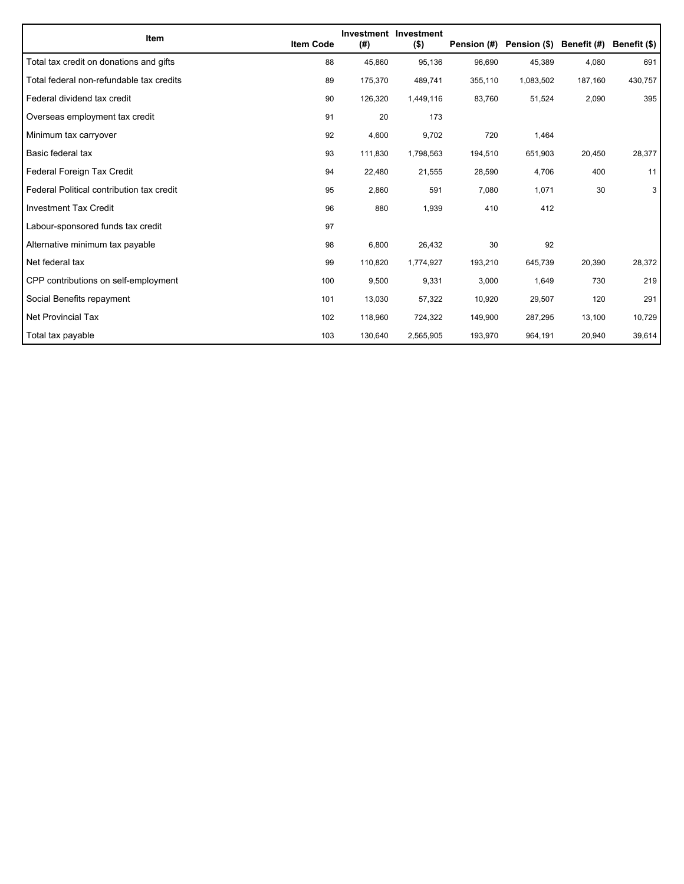| Item                                      | <b>Item Code</b> | (#)     | Investment Investment<br>$($ \$) | Pension (#) | Pension (\$) | Benefit (#) | Benefit (\$) |
|-------------------------------------------|------------------|---------|----------------------------------|-------------|--------------|-------------|--------------|
| Total tax credit on donations and gifts   | 88               | 45,860  | 95,136                           | 96,690      | 45,389       | 4,080       | 691          |
| Total federal non-refundable tax credits  | 89               | 175,370 | 489,741                          | 355,110     | 1,083,502    | 187,160     | 430,757      |
| Federal dividend tax credit               | 90               | 126,320 | 1,449,116                        | 83,760      | 51,524       | 2,090       | 395          |
| Overseas employment tax credit            | 91               | 20      | 173                              |             |              |             |              |
| Minimum tax carryover                     | 92               | 4,600   | 9,702                            | 720         | 1,464        |             |              |
| Basic federal tax                         | 93               | 111,830 | 1,798,563                        | 194,510     | 651,903      | 20,450      | 28,377       |
| Federal Foreign Tax Credit                | 94               | 22,480  | 21,555                           | 28,590      | 4,706        | 400         | 11           |
| Federal Political contribution tax credit | 95               | 2,860   | 591                              | 7,080       | 1,071        | 30          | 3            |
| <b>Investment Tax Credit</b>              | 96               | 880     | 1,939                            | 410         | 412          |             |              |
| Labour-sponsored funds tax credit         | 97               |         |                                  |             |              |             |              |
| Alternative minimum tax payable           | 98               | 6,800   | 26,432                           | 30          | 92           |             |              |
| Net federal tax                           | 99               | 110,820 | 1,774,927                        | 193,210     | 645,739      | 20,390      | 28,372       |
| CPP contributions on self-employment      | 100              | 9,500   | 9,331                            | 3,000       | 1,649        | 730         | 219          |
| Social Benefits repayment                 | 101              | 13,030  | 57,322                           | 10,920      | 29,507       | 120         | 291          |
| <b>Net Provincial Tax</b>                 | 102              | 118,960 | 724,322                          | 149,900     | 287,295      | 13,100      | 10,729       |
| Total tax payable                         | 103              | 130,640 | 2,565,905                        | 193,970     | 964,191      | 20,940      | 39,614       |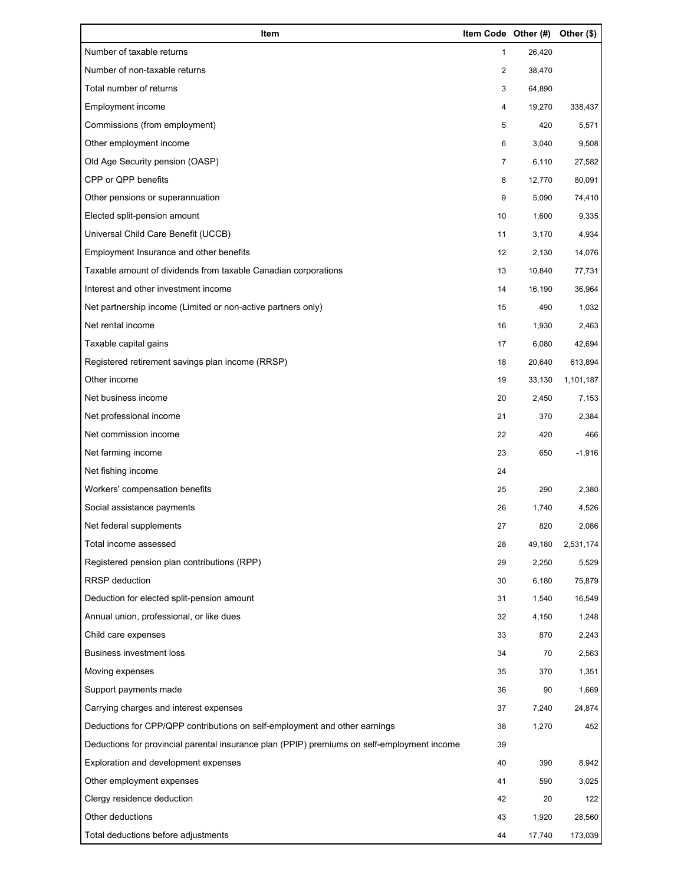| Item                                                                                        | Item Code Other (#) |        | Other (\$) |
|---------------------------------------------------------------------------------------------|---------------------|--------|------------|
| Number of taxable returns                                                                   | 1                   | 26,420 |            |
| Number of non-taxable returns                                                               | 2                   | 38,470 |            |
| Total number of returns                                                                     | 3                   | 64,890 |            |
| Employment income                                                                           | 4                   | 19,270 | 338,437    |
| Commissions (from employment)                                                               | 5                   | 420    | 5,571      |
| Other employment income                                                                     | 6                   | 3,040  | 9,508      |
| Old Age Security pension (OASP)                                                             | $\overline{7}$      | 6,110  | 27,582     |
| CPP or QPP benefits                                                                         | 8                   | 12,770 | 80,091     |
| Other pensions or superannuation                                                            | 9                   | 5,090  | 74,410     |
| Elected split-pension amount                                                                | 10                  | 1,600  | 9,335      |
| Universal Child Care Benefit (UCCB)                                                         | 11                  | 3,170  | 4,934      |
| Employment Insurance and other benefits                                                     | 12                  | 2,130  | 14,076     |
| Taxable amount of dividends from taxable Canadian corporations                              | 13                  | 10,840 | 77,731     |
| Interest and other investment income                                                        | 14                  | 16,190 | 36,964     |
| Net partnership income (Limited or non-active partners only)                                | 15                  | 490    | 1,032      |
| Net rental income                                                                           | 16                  | 1,930  | 2,463      |
| Taxable capital gains                                                                       | 17                  | 6,080  | 42,694     |
| Registered retirement savings plan income (RRSP)                                            | 18                  | 20,640 | 613,894    |
| Other income                                                                                | 19                  | 33,130 | 1,101,187  |
| Net business income                                                                         | 20                  | 2,450  | 7,153      |
| Net professional income                                                                     | 21                  | 370    | 2,384      |
| Net commission income                                                                       | 22                  | 420    | 466        |
| Net farming income                                                                          | 23                  | 650    | $-1,916$   |
| Net fishing income                                                                          | 24                  |        |            |
| Workers' compensation benefits                                                              | 25                  | 290    | 2,380      |
| Social assistance payments                                                                  | 26                  | 1,740  | 4,526      |
| Net federal supplements                                                                     | 27                  | 820    | 2,086      |
| Total income assessed                                                                       | 28                  | 49,180 | 2,531,174  |
| Registered pension plan contributions (RPP)                                                 | 29                  | 2,250  | 5,529      |
| RRSP deduction                                                                              | 30                  | 6,180  | 75,879     |
| Deduction for elected split-pension amount                                                  | 31                  | 1,540  | 16,549     |
| Annual union, professional, or like dues                                                    | 32                  | 4,150  | 1,248      |
| Child care expenses                                                                         | 33                  | 870    | 2,243      |
| <b>Business investment loss</b>                                                             | 34                  | 70     | 2,563      |
| Moving expenses                                                                             | 35                  | 370    | 1,351      |
| Support payments made                                                                       | 36                  | 90     | 1,669      |
| Carrying charges and interest expenses                                                      | 37                  | 7,240  | 24,874     |
| Deductions for CPP/QPP contributions on self-employment and other earnings                  | 38                  | 1,270  | 452        |
| Deductions for provincial parental insurance plan (PPIP) premiums on self-employment income | 39                  |        |            |
| Exploration and development expenses                                                        | 40                  | 390    | 8,942      |
| Other employment expenses                                                                   | 41                  | 590    | 3,025      |
| Clergy residence deduction                                                                  | 42                  | 20     | 122        |
| Other deductions                                                                            | 43                  | 1,920  | 28,560     |
| Total deductions before adjustments                                                         | 44                  | 17,740 | 173,039    |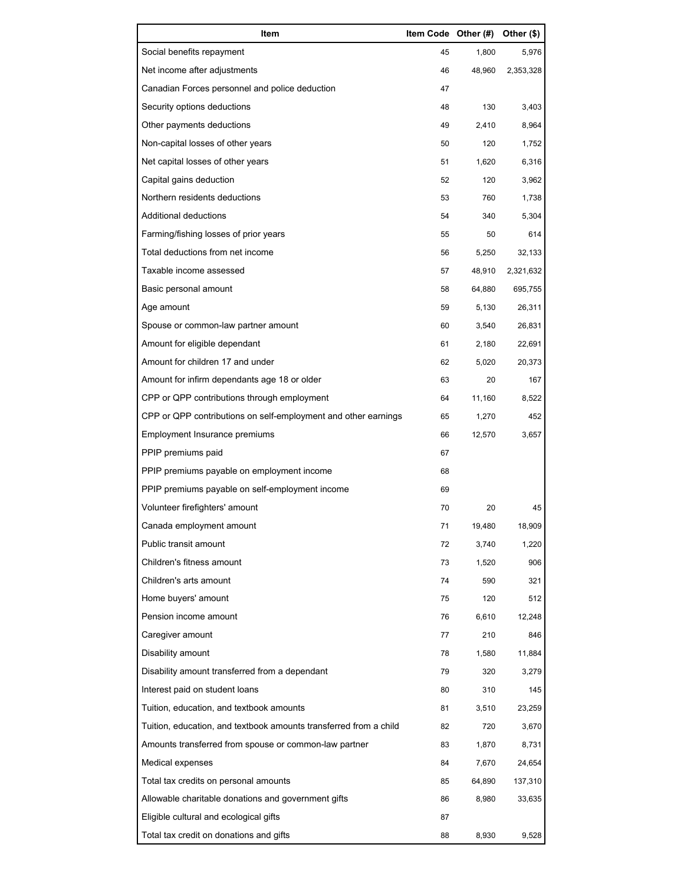| Item                                                              | Item Code Other (#) |        | Other (\$) |
|-------------------------------------------------------------------|---------------------|--------|------------|
| Social benefits repayment                                         | 45                  | 1,800  | 5,976      |
| Net income after adjustments                                      | 46                  | 48,960 | 2,353,328  |
| Canadian Forces personnel and police deduction                    | 47                  |        |            |
| Security options deductions                                       | 48                  | 130    | 3,403      |
| Other payments deductions                                         | 49                  | 2,410  | 8,964      |
| Non-capital losses of other years                                 | 50                  | 120    | 1,752      |
| Net capital losses of other years                                 | 51                  | 1,620  | 6,316      |
| Capital gains deduction                                           | 52                  | 120    | 3,962      |
| Northern residents deductions                                     | 53                  | 760    | 1,738      |
| Additional deductions                                             | 54                  | 340    | 5,304      |
| Farming/fishing losses of prior years                             | 55                  | 50     | 614        |
| Total deductions from net income                                  | 56                  | 5,250  | 32,133     |
| Taxable income assessed                                           | 57                  | 48,910 | 2,321,632  |
| Basic personal amount                                             | 58                  | 64,880 | 695,755    |
| Age amount                                                        | 59                  | 5,130  | 26,311     |
| Spouse or common-law partner amount                               | 60                  | 3,540  | 26,831     |
| Amount for eligible dependant                                     | 61                  | 2,180  | 22,691     |
| Amount for children 17 and under                                  | 62                  | 5,020  | 20,373     |
| Amount for infirm dependants age 18 or older                      | 63                  | 20     | 167        |
| CPP or QPP contributions through employment                       | 64                  | 11,160 | 8,522      |
| CPP or QPP contributions on self-employment and other earnings    | 65                  | 1,270  | 452        |
| Employment Insurance premiums                                     | 66                  | 12,570 | 3,657      |
| PPIP premiums paid                                                | 67                  |        |            |
| PPIP premiums payable on employment income                        | 68                  |        |            |
| PPIP premiums payable on self-employment income                   | 69                  |        |            |
| Volunteer firefighters' amount                                    | 70                  | 20     | 45         |
| Canada employment amount                                          | 71                  | 19,480 | 18,909     |
| Public transit amount                                             | 72                  | 3,740  | 1,220      |
| Children's fitness amount                                         | 73                  | 1,520  | 906        |
| Children's arts amount                                            | 74                  | 590    | 321        |
| Home buyers' amount                                               | 75                  | 120    | 512        |
| Pension income amount                                             | 76                  | 6,610  | 12,248     |
| Caregiver amount                                                  | 77                  | 210    | 846        |
| Disability amount                                                 | 78                  | 1,580  | 11,884     |
| Disability amount transferred from a dependant                    | 79                  | 320    | 3,279      |
| Interest paid on student loans                                    | 80                  | 310    | 145        |
| Tuition, education, and textbook amounts                          | 81                  | 3,510  | 23,259     |
| Tuition, education, and textbook amounts transferred from a child | 82                  | 720    | 3,670      |
| Amounts transferred from spouse or common-law partner             | 83                  | 1,870  | 8,731      |
| Medical expenses                                                  | 84                  | 7,670  | 24,654     |
| Total tax credits on personal amounts                             | 85                  | 64,890 | 137,310    |
| Allowable charitable donations and government gifts               | 86                  | 8,980  | 33,635     |
| Eligible cultural and ecological gifts                            | 87                  |        |            |
| Total tax credit on donations and gifts                           | 88                  | 8,930  | 9,528      |